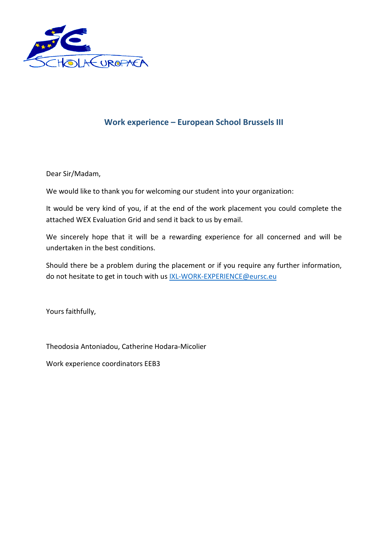

## **Work experience – European School Brussels III**

Dear Sir/Madam,

We would like to thank you for welcoming our student into your organization:

It would be very kind of you, if at the end of the work placement you could complete the attached WEX Evaluation Grid and send it back to us by email.

We sincerely hope that it will be a rewarding experience for all concerned and will be undertaken in the best conditions.

Should there be a problem during the placement or if you require any further information, do not hesitate to get in touch with us [IXL-WORK-EXPERIENCE@eursc.eu](mailto:IXL-WORK-EXPERIENCE@eursc.eu)

Yours faithfully,

Theodosia Antoniadou, Catherine Hodara-Micolier

Work experience coordinators EEB3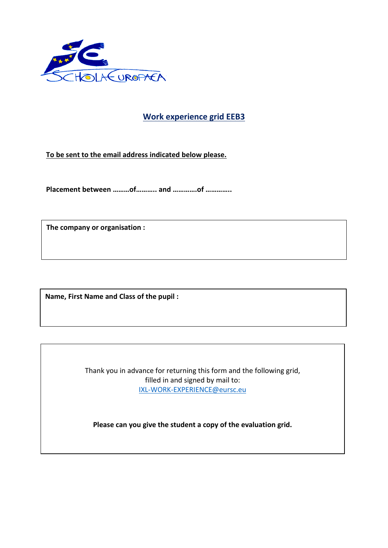

## **Work experience grid EEB3**

**To be sent to the email address indicated below please.**

**Placement between ………of……….. and ………….of …………..**

**The company or organisation :**

**Name, First Name and Class of the pupil :**

Thank you in advance for returning this form and the following grid, filled in and signed by mail to: [IXL-WORK-EXPERIENCE@eursc.eu](mailto:IXL-WORK-EXPERIENCE@eursc.eu)

**Please can you give the student a copy of the evaluation grid.**